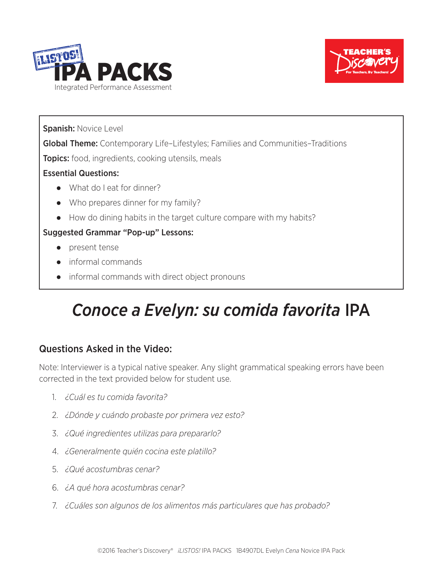



Spanish: Novice Level

Global Theme: Contemporary Life–Lifestyles; Families and Communities–Traditions

**Topics:** food, ingredients, cooking utensils, meals

#### Essential Questions:

- ● What do I eat for dinner?
- ● Who prepares dinner for my family?
- How do dining habits in the target culture compare with my habits?

#### Suggested Grammar "Pop-up" Lessons:

- ● present tense
- ● informal commands
- ● informal commands with direct object pronouns

# *Conoce a Evelyn: su comida favorita* IPA

### Questions Asked in the Video:

Note: Interviewer is a typical native speaker. Any slight grammatical speaking errors have been corrected in the text provided below for student use.

- 1. *¿Cuál es tu comida favorita?*
- 2. *¿Dónde y cuándo probaste por primera vez esto?*
- 3. *¿Qué ingredientes utilizas para prepararlo?*
- 4. *¿Generalmente quién cocina este platillo?*
- 5. *¿Qué acostumbras cenar?*
- 6. *¿A qué hora acostumbras cenar?*
- 7. *¿Cuáles son algunos de los alimentos más particulares que has probado?*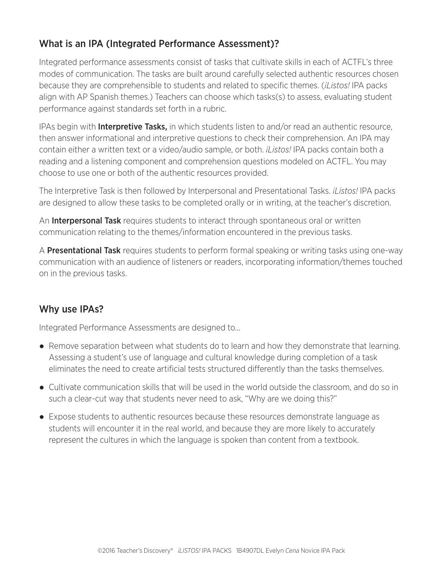#### What is an IPA (Integrated Performance Assessment)?

Integrated performance assessments consist of tasks that cultivate skills in each of ACTFL's three modes of communication. The tasks are built around carefully selected authentic resources chosen because they are comprehensible to students and related to specific themes. (*¡Listos!* IPA packs align with AP Spanish themes.) Teachers can choose which tasks(s) to assess, evaluating student performance against standards set forth in a rubric.

IPAs begin with **Interpretive Tasks**, in which students listen to and/or read an authentic resource, then answer informational and interpretive questions to check their comprehension. An IPA may contain either a written text or a video/audio sample, or both. *¡Listos!* IPA packs contain both a reading and a listening component and comprehension questions modeled on ACTFL. You may choose to use one or both of the authentic resources provided.

The Interpretive Task is then followed by Interpersonal and Presentational Tasks. *¡Listos!* IPA packs are designed to allow these tasks to be completed orally or in writing, at the teacher's discretion.

An **Interpersonal Task** requires students to interact through spontaneous oral or written communication relating to the themes/information encountered in the previous tasks.

A Presentational Task requires students to perform formal speaking or writing tasks using one-way communication with an audience of listeners or readers, incorporating information/themes touched on in the previous tasks.

#### Why use IPAs?

Integrated Performance Assessments are designed to...

- Remove separation between what students do to learn and how they demonstrate that learning. Assessing a student's use of language and cultural knowledge during completion of a task eliminates the need to create artificial tests structured differently than the tasks themselves.
- Cultivate communication skills that will be used in the world outside the classroom, and do so in such a clear-cut way that students never need to ask, "Why are we doing this?"
- Expose students to authentic resources because these resources demonstrate language as students will encounter it in the real world, and because they are more likely to accurately represent the cultures in which the language is spoken than content from a textbook.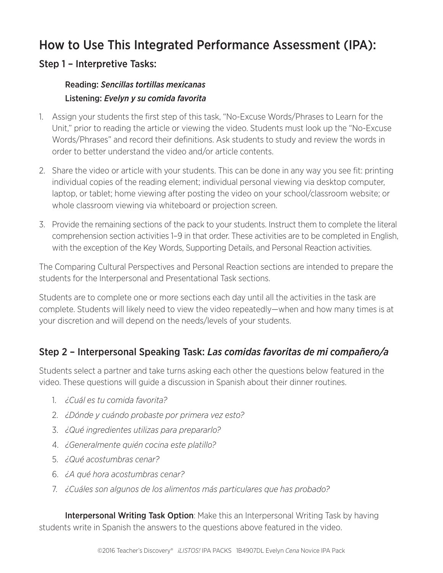### How to Use This Integrated Performance Assessment (IPA):

#### Step 1 – Interpretive Tasks:

#### Reading: *Sencillas tortillas mexicanas* Listening: *Evelyn y su comida favorita*

- 1. Assign your students the first step of this task, "No-Excuse Words/Phrases to Learn for the Unit," prior to reading the article or viewing the video. Students must look up the "No-Excuse Words/Phrases" and record their definitions. Ask students to study and review the words in order to better understand the video and/or article contents.
- 2. Share the video or article with your students. This can be done in any way you see fit: printing individual copies of the reading element; individual personal viewing via desktop computer, laptop, or tablet; home viewing after posting the video on your school/classroom website; or whole classroom viewing via whiteboard or projection screen.
- 3. Provide the remaining sections of the pack to your students. Instruct them to complete the literal comprehension section activities 1–9 in that order. These activities are to be completed in English, with the exception of the Key Words, Supporting Details, and Personal Reaction activities.

The Comparing Cultural Perspectives and Personal Reaction sections are intended to prepare the students for the Interpersonal and Presentational Task sections.

Students are to complete one or more sections each day until all the activities in the task are complete. Students will likely need to view the video repeatedly—when and how many times is at your discretion and will depend on the needs/levels of your students.

#### Step 2 – Interpersonal Speaking Task: *Las comidas favoritas de mi compañero/a*

Students select a partner and take turns asking each other the questions below featured in the video. These questions will guide a discussion in Spanish about their dinner routines.

- 1. *¿Cuál es tu comida favorita?*
- 2. *¿Dónde y cuándo probaste por primera vez esto?*
- 3. *¿Qué ingredientes utilizas para prepararlo?*
- 4. *¿Generalmente quién cocina este platillo?*
- 5. *¿Qué acostumbras cenar?*
- 6. *¿A qué hora acostumbras cenar?*
- 7. *¿Cuáles son algunos de los alimentos más particulares que has probado?*

**Interpersonal Writing Task Option:** Make this an Interpersonal Writing Task by having students write in Spanish the answers to the questions above featured in the video.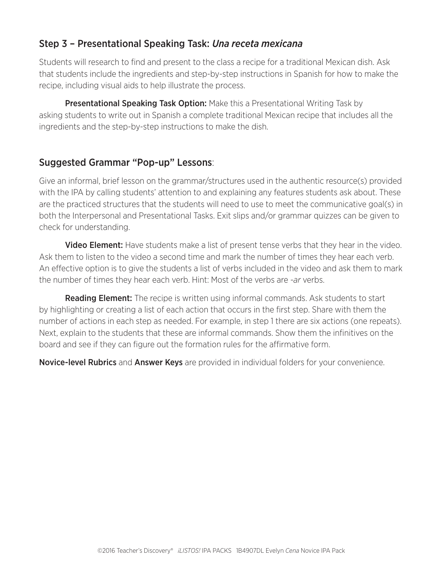#### Step 3 – Presentational Speaking Task: *Una receta mexicana*

Students will research to find and present to the class a recipe for a traditional Mexican dish. Ask that students include the ingredients and step-by-step instructions in Spanish for how to make the recipe, including visual aids to help illustrate the process.

**Presentational Speaking Task Option:** Make this a Presentational Writing Task by asking students to write out in Spanish a complete traditional Mexican recipe that includes all the ingredients and the step-by-step instructions to make the dish.

#### Suggested Grammar "Pop-up" Lessons:

Give an informal, brief lesson on the grammar/structures used in the authentic resource(s) provided with the IPA by calling students' attention to and explaining any features students ask about. These are the practiced structures that the students will need to use to meet the communicative goal(s) in both the Interpersonal and Presentational Tasks. Exit slips and/or grammar quizzes can be given to check for understanding.

**Video Element:** Have students make a list of present tense verbs that they hear in the video. Ask them to listen to the video a second time and mark the number of times they hear each verb. An effective option is to give the students a list of verbs included in the video and ask them to mark the number of times they hear each verb. Hint: Most of the verbs are *-ar* verbs.

Reading Element: The recipe is written using informal commands. Ask students to start by highlighting or creating a list of each action that occurs in the first step. Share with them the number of actions in each step as needed. For example, in step 1 there are six actions (one repeats). Next, explain to the students that these are informal commands. Show them the infinitives on the board and see if they can figure out the formation rules for the affirmative form.

**Novice-level Rubrics** and **Answer Keys** are provided in individual folders for your convenience.